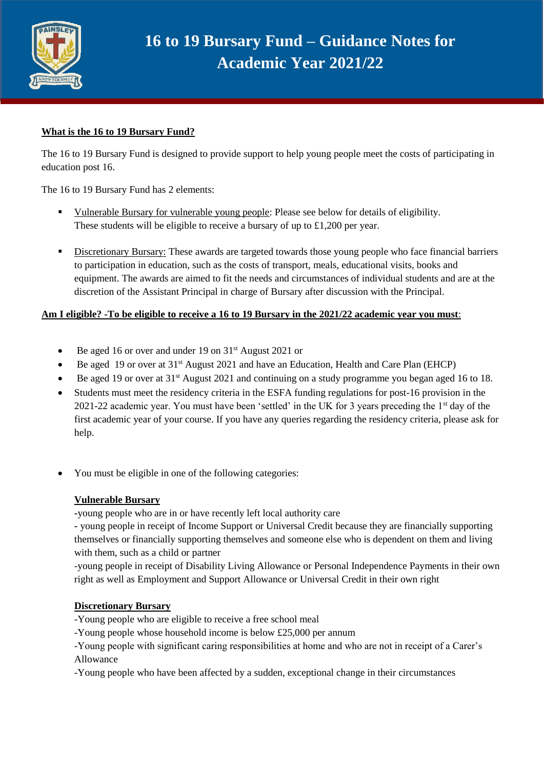

# **16 to 19 Bursary Fund – Guidance Notes for Academic Year 2021/22**

## **What is the 16 to 19 Bursary Fund?**

The 16 to 19 Bursary Fund is designed to provide support to help young people meet the costs of participating in education post 16.

The 16 to 19 Bursary Fund has 2 elements:

- **•** Vulnerable Bursary for vulnerable young people: Please see below for details of eligibility. These students will be eligible to receive a bursary of up to £1,200 per year.
- **EXECUTE:** Discretionary Bursary: These awards are targeted towards those young people who face financial barriers to participation in education, such as the costs of transport, meals, educational visits, books and equipment. The awards are aimed to fit the needs and circumstances of individual students and are at the discretion of the Assistant Principal in charge of Bursary after discussion with the Principal.

## **Am I eligible? -To be eligible to receive a 16 to 19 Bursary in the 2021/22 academic year you must**:

- Be aged 16 or over and under 19 on 31<sup>st</sup> August 2021 or
- Be aged 19 or over at 31<sup>st</sup> August 2021 and have an Education, Health and Care Plan (EHCP)
- Be aged 19 or over at 31st August 2021 and continuing on a study programme you began aged 16 to 18.
- Students must meet the residency criteria in the ESFA funding regulations for post-16 provision in the 2021-22 academic year. You must have been 'settled' in the UK for 3 years preceding the 1st day of the first academic year of your course. If you have any queries regarding the residency criteria, please ask for help.
- You must be eligible in one of the following categories:

## **Vulnerable Bursary**

**-**young people who are in or have recently left local authority care

**-** young people in receipt of Income Support or Universal Credit because they are financially supporting themselves or financially supporting themselves and someone else who is dependent on them and living with them, such as a child or partner

-young people in receipt of Disability Living Allowance or Personal Independence Payments in their own right as well as Employment and Support Allowance or Universal Credit in their own right

## **Discretionary Bursary**

- -Young people who are eligible to receive a free school meal
- -Young people whose household income is below £25,000 per annum

-Young people with significant caring responsibilities at home and who are not in receipt of a Carer's Allowance

-Young people who have been affected by a sudden, exceptional change in their circumstances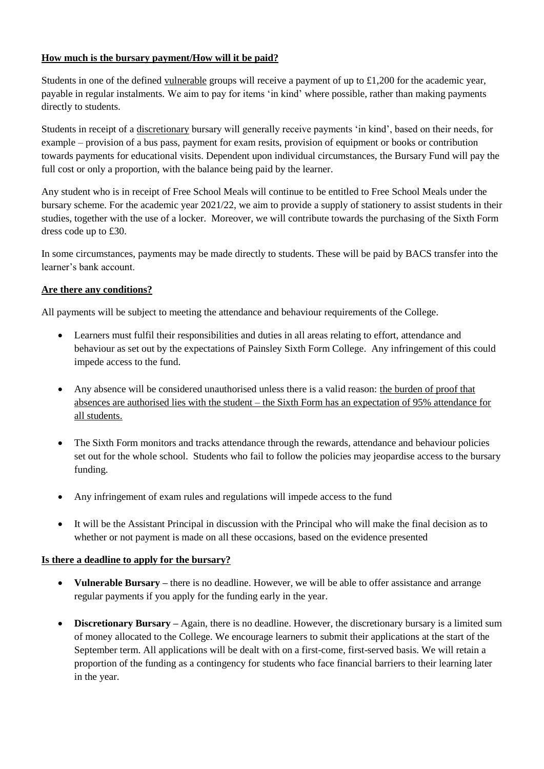## **How much is the bursary payment/How will it be paid?**

Students in one of the defined vulnerable groups will receive a payment of up to £1,200 for the academic year, payable in regular instalments. We aim to pay for items 'in kind' where possible, rather than making payments directly to students.

Students in receipt of a discretionary bursary will generally receive payments 'in kind', based on their needs, for example – provision of a bus pass, payment for exam resits, provision of equipment or books or contribution towards payments for educational visits. Dependent upon individual circumstances, the Bursary Fund will pay the full cost or only a proportion, with the balance being paid by the learner.

Any student who is in receipt of Free School Meals will continue to be entitled to Free School Meals under the bursary scheme. For the academic year 2021/22, we aim to provide a supply of stationery to assist students in their studies, together with the use of a locker. Moreover, we will contribute towards the purchasing of the Sixth Form dress code up to £30.

In some circumstances, payments may be made directly to students. These will be paid by BACS transfer into the learner's bank account.

## **Are there any conditions?**

All payments will be subject to meeting the attendance and behaviour requirements of the College.

- Learners must fulfil their responsibilities and duties in all areas relating to effort, attendance and behaviour as set out by the expectations of Painsley Sixth Form College. Any infringement of this could impede access to the fund.
- Any absence will be considered unauthorised unless there is a valid reason: the burden of proof that absences are authorised lies with the student – the Sixth Form has an expectation of 95% attendance for all students.
- The Sixth Form monitors and tracks attendance through the rewards, attendance and behaviour policies set out for the whole school. Students who fail to follow the policies may jeopardise access to the bursary funding.
- Any infringement of exam rules and regulations will impede access to the fund
- It will be the Assistant Principal in discussion with the Principal who will make the final decision as to whether or not payment is made on all these occasions, based on the evidence presented

## **Is there a deadline to apply for the bursary?**

- **Vulnerable Bursary** there is no deadline. However, we will be able to offer assistance and arrange regular payments if you apply for the funding early in the year.
- **Discretionary Bursary –** Again, there is no deadline. However, the discretionary bursary is a limited sum of money allocated to the College. We encourage learners to submit their applications at the start of the September term. All applications will be dealt with on a first-come, first-served basis. We will retain a proportion of the funding as a contingency for students who face financial barriers to their learning later in the year.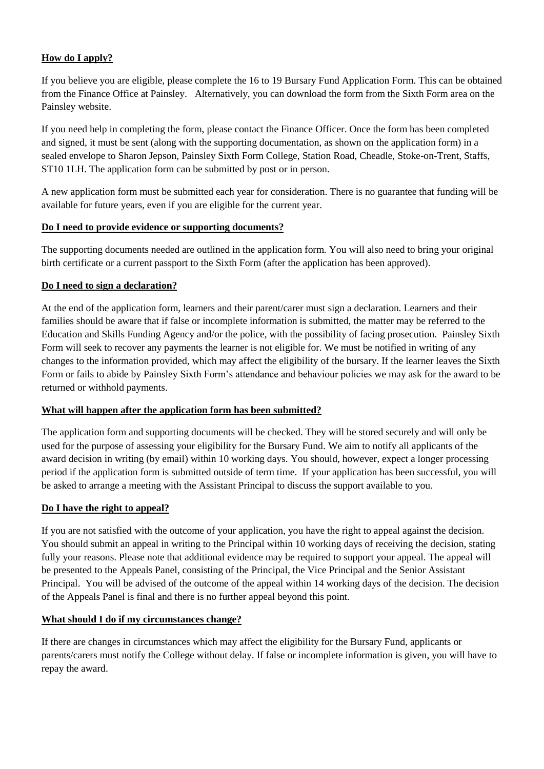## **How do I apply?**

If you believe you are eligible, please complete the 16 to 19 Bursary Fund Application Form. This can be obtained from the Finance Office at Painsley. Alternatively, you can download the form from the Sixth Form area on the Painsley website.

If you need help in completing the form, please contact the Finance Officer. Once the form has been completed and signed, it must be sent (along with the supporting documentation, as shown on the application form) in a sealed envelope to Sharon Jepson, Painsley Sixth Form College, Station Road, Cheadle, Stoke-on-Trent, Staffs, ST10 1LH. The application form can be submitted by post or in person.

A new application form must be submitted each year for consideration. There is no guarantee that funding will be available for future years, even if you are eligible for the current year.

## **Do I need to provide evidence or supporting documents?**

The supporting documents needed are outlined in the application form. You will also need to bring your original birth certificate or a current passport to the Sixth Form (after the application has been approved).

## **Do I need to sign a declaration?**

At the end of the application form, learners and their parent/carer must sign a declaration. Learners and their families should be aware that if false or incomplete information is submitted, the matter may be referred to the Education and Skills Funding Agency and/or the police, with the possibility of facing prosecution. Painsley Sixth Form will seek to recover any payments the learner is not eligible for. We must be notified in writing of any changes to the information provided, which may affect the eligibility of the bursary. If the learner leaves the Sixth Form or fails to abide by Painsley Sixth Form's attendance and behaviour policies we may ask for the award to be returned or withhold payments.

## **What will happen after the application form has been submitted?**

The application form and supporting documents will be checked. They will be stored securely and will only be used for the purpose of assessing your eligibility for the Bursary Fund. We aim to notify all applicants of the award decision in writing (by email) within 10 working days. You should, however, expect a longer processing period if the application form is submitted outside of term time. If your application has been successful, you will be asked to arrange a meeting with the Assistant Principal to discuss the support available to you.

## **Do I have the right to appeal?**

If you are not satisfied with the outcome of your application, you have the right to appeal against the decision. You should submit an appeal in writing to the Principal within 10 working days of receiving the decision, stating fully your reasons. Please note that additional evidence may be required to support your appeal. The appeal will be presented to the Appeals Panel, consisting of the Principal, the Vice Principal and the Senior Assistant Principal. You will be advised of the outcome of the appeal within 14 working days of the decision. The decision of the Appeals Panel is final and there is no further appeal beyond this point.

## **What should I do if my circumstances change?**

If there are changes in circumstances which may affect the eligibility for the Bursary Fund, applicants or parents/carers must notify the College without delay. If false or incomplete information is given, you will have to repay the award.